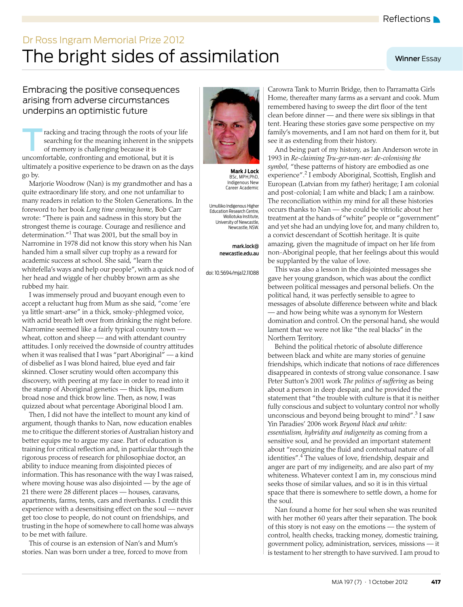## <span id="page-0-0"></span>The bright sides of assimilation Dr Ross Ingram Memorial Prize 2012

## Winner Essay

## Embracing the positive consequences arising from adverse circumstances underpins an optimistic future

racking and tracing through the roots of your life searching for the meaning inherent in the snippets of memory is challenging because it is uncomfortable, confronting and emotional, but it is ultimately a positive experience to be drawn on as the days go by. T

Marjorie Woodrow (Nan) is my grandmother and has a quite extraordinary life story, and one not unfamiliar to many readers in relation to the Stolen Generations. In the foreword to her book *Long time coming home*, Bob Carr wrote: "There is pain and sadness in this story but the strongest theme is courage. Courage and resilience and determination."[1](#page-1-0) That was 2001, but the small boy in Narromine in 1978 did not know this story when his Nan handed him a small silver cup trophy as a reward for academic success at school. She said, "learn the whitefella's ways and help our people", with a quick nod of her head and wiggle of her chubby brown arm as she rubbed my hair.

I was immensely proud and buoyant enough even to accept a reluctant hug from Mum as she said, "come 'ere ya little smart-arse" in a thick, smoky-phlegmed voice, with acrid breath left over from drinking the night before. Narromine seemed like a fairly typical country town wheat, cotton and sheep — and with attendant country attitudes. I only received the downside of country attitudes when it was realised that I was "part Aboriginal" — a kind of disbelief as I was blond haired, blue eyed and fair skinned. Closer scrutiny would often accompany this discovery, with peering at my face in order to read into it the stamp of Aboriginal genetics — thick lips, medium broad nose and thick brow line. Then, as now, I was quizzed about what percentage Aboriginal blood I am.

21 there were 28 different places — houses, caravans, apartments, farms, tents, cars and riv[erban](#page-1-4)ks. I credit this experience with a desensitising effect on the soul — never get too close to people, do not count on friendships, and trusting in the hope of somewhere to call home was always Then, I did not have the intellect to mount any kind of argument, though thanks to Nan, now education enables me to critique the different stories of Australian history and better equips me to argue my case. Part of education is training for critical reflection and, in particular through the rigorous process of research for philosophiae doctor, an ability to induce meaning from disjointed pieces of information. This has resonance with the way I was raised, where moving house was also disjointed — by the age of to be met with failure.

This of course is an extension of Nan's and Mum's stories. Nan was born under a tree, forced to move from



**Mark J Lock** BSc, MPH,PhD, Indigenous New Career Academic

Umulliko Indigenous Higher Education Research Centre, Wollotuka Institute, University of Newcastle, Newcastle, NSW.

> mark.lock@ newcastle.edu.au

doi: 10.5694/mja12.11088

Carowra Tank to Murrin Bridge, then to Parramatta Girls Home, thereafter many farms as a servant and cook. Mum remembered having to sweep the dirt floor of the tent clean before dinner — and there were six siblings in that tent. Hearing these stories gave some perspective on my family's movements, and I am not hard on them for it, but see it as extending from their history.

And being part of my history, as Ian Anderson wrote in 1993 in *Re-claiming Tru-ger-nan-ner: de-colonising the symbol,* "these patterns of history are embodied as one experience".<sup>[2](#page-1-1)</sup> I embody Aboriginal, Scottish, English and European (Latvian from my father) heritage; I am colonial and post-colonial; I am white and black; I am a rainbow. The reconciliation within my mind for all these histories occurs thanks to Nan — she could be vitriolic about her treatment at the hands of "white" people or "government" and yet she had an undying love for, and many children to, a convict descendant of Scottish heritage. It is quite amazing, given the magnitude of impact on her life from non-Aboriginal people, that her feelings about this would be supplanted by the value of love.

This was also a lesson in the disjointed messages she gave her young grandson, which was about the conflict between political messages and personal beliefs. On the political hand, it was perfectly sensible to agree to messages of absolute difference between white and black — and how being white was a synonym for Western domination and control. On the personal hand, she would lament that we were not like "the real blacks" in the Northern Territory.

Behind the political rhetoric of absolute difference between black and white are many stories of genuine friendships, which indicate that notions of race differences disappeared in contexts of strong value consonance. I saw Peter Sutton's 2001 work *The politics of suffering* as being about a person in deep despair, and he provided the statement that "the trouble with culture is that it is neither fully conscious and subject to voluntary control nor wholly unconscious and beyond being brought to mind".<sup>[3](#page-1-2)</sup> I saw Yin Paradies' 2006 work *Beyond black and white: essentialism, hybridity and indigeneity* as coming from a sensitive soul, and he provided an important statement about "recognizing the fluid and contextual nature of all identities".<sup>[4](#page-1-3)</sup> The values of love, friendship, despair and anger are part of my indigeneity, and are also part of my whiteness. Whatever context I am in, my conscious mind seeks those of similar values, and so it is in this virtual space that there is somewhere to settle down, a home for the soul.

Nan found a home for her soul when she was reunited with her mother 60 years after their separation. The book of this story is not easy on the emotions — the system of control, health checks, tracking money, domestic training, government policy, administration, services, missions — it is testament to her strength to have survived. I am proud to